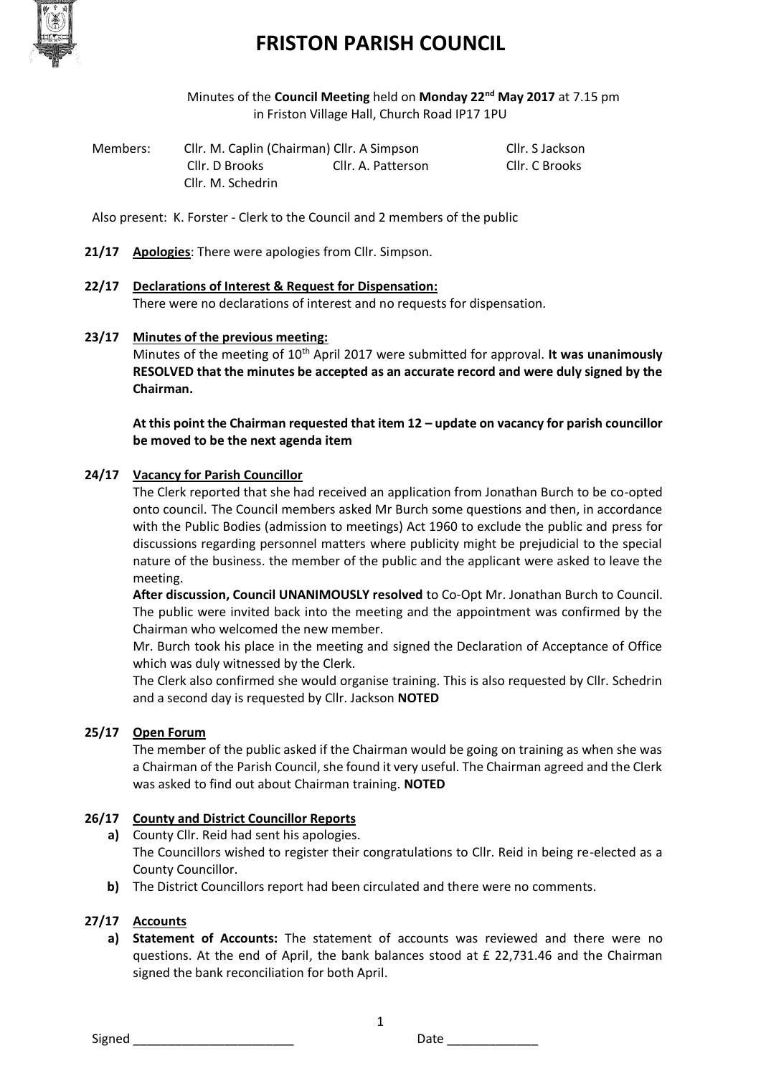

Minutes of the **Council Meeting** held on **Monday 22nd May 2017** at 7.15 pm in Friston Village Hall, Church Road IP17 1PU

| Members: | Cllr. M. Caplin (Chairman) Cllr. A Simpson |                    | Cllr. S Jackson |
|----------|--------------------------------------------|--------------------|-----------------|
|          | Cllr. D Brooks                             | Cllr. A. Patterson | Cllr. C Brooks  |
|          | Cllr. M. Schedrin                          |                    |                 |

Also present: K. Forster - Clerk to the Council and 2 members of the public

- **21/17 Apologies**: There were apologies from Cllr. Simpson.
- **22/17 Declarations of Interest & Request for Dispensation:**

There were no declarations of interest and no requests for dispensation.

#### **23/17 Minutes of the previous meeting:**

Minutes of the meeting of 10<sup>th</sup> April 2017 were submitted for approval. It was unanimously **RESOLVED that the minutes be accepted as an accurate record and were duly signed by the Chairman.**

**At this point the Chairman requested that item 12 – update on vacancy for parish councillor be moved to be the next agenda item** 

### **24/17 Vacancy for Parish Councillor**

The Clerk reported that she had received an application from Jonathan Burch to be co-opted onto council. The Council members asked Mr Burch some questions and then, in accordance with the Public Bodies (admission to meetings) Act 1960 to exclude the public and press for discussions regarding personnel matters where publicity might be prejudicial to the special nature of the business. the member of the public and the applicant were asked to leave the meeting.

**After discussion, Council UNANIMOUSLY resolved** to Co-Opt Mr. Jonathan Burch to Council. The public were invited back into the meeting and the appointment was confirmed by the Chairman who welcomed the new member.

Mr. Burch took his place in the meeting and signed the Declaration of Acceptance of Office which was duly witnessed by the Clerk.

The Clerk also confirmed she would organise training. This is also requested by Cllr. Schedrin and a second day is requested by Cllr. Jackson **NOTED**

### **25/17 Open Forum**

The member of the public asked if the Chairman would be going on training as when she was a Chairman of the Parish Council, she found it very useful. The Chairman agreed and the Clerk was asked to find out about Chairman training. **NOTED**

#### **26/17 County and District Councillor Reports**

- **a)** County Cllr. Reid had sent his apologies. The Councillors wished to register their congratulations to Cllr. Reid in being re-elected as a County Councillor.
- **b)** The District Councillors report had been circulated and there were no comments.

### **27/17 Accounts**

**a) Statement of Accounts:** The statement of accounts was reviewed and there were no questions. At the end of April, the bank balances stood at £ 22,731.46 and the Chairman signed the bank reconciliation for both April.

1

Signed **Example 20** Signed **Date**  $\overline{\phantom{a}}$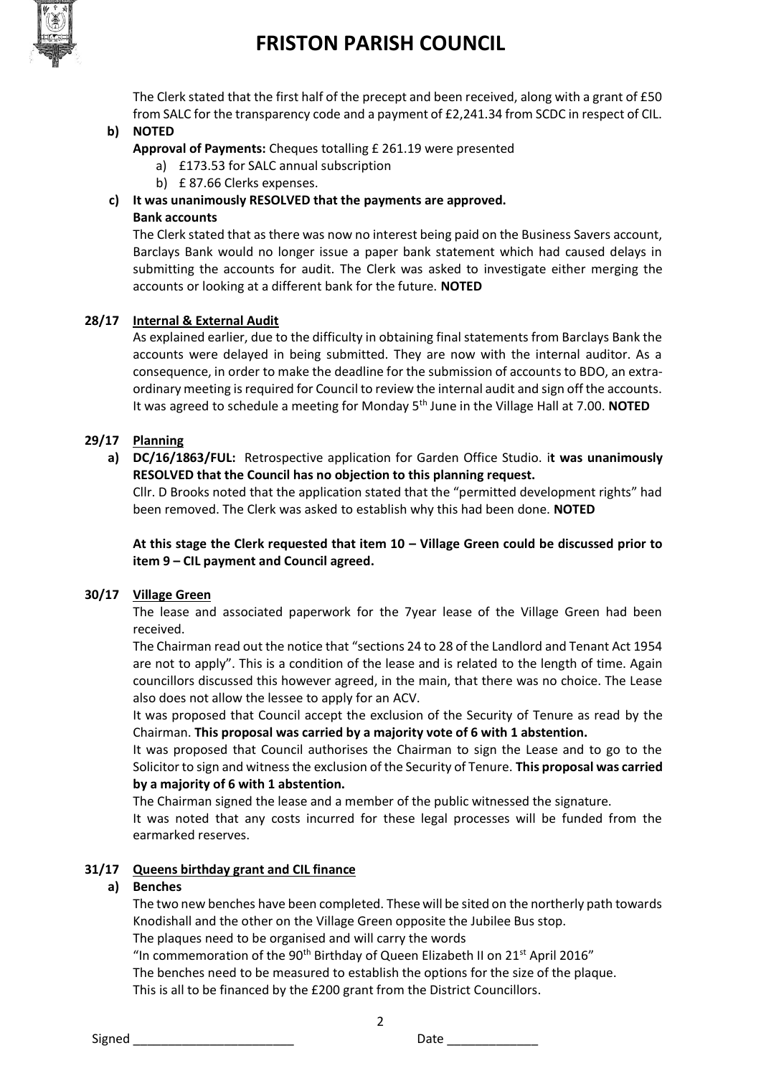

The Clerk stated that the first half of the precept and been received, along with a grant of £50 from SALC for the transparency code and a payment of £2,241.34 from SCDC in respect of CIL.

### **b) NOTED**

- **Approval of Payments:** Cheques totalling £ 261.19 were presented
	- a) £173.53 for SALC annual subscription
	- b) £ 87.66 Clerks expenses.
- **c) It was unanimously RESOLVED that the payments are approved.**

### **Bank accounts**

The Clerk stated that as there was now no interest being paid on the Business Savers account, Barclays Bank would no longer issue a paper bank statement which had caused delays in submitting the accounts for audit. The Clerk was asked to investigate either merging the accounts or looking at a different bank for the future. **NOTED**

### **28/17 Internal & External Audit**

As explained earlier, due to the difficulty in obtaining final statements from Barclays Bank the accounts were delayed in being submitted. They are now with the internal auditor. As a consequence, in order to make the deadline for the submission of accounts to BDO, an extraordinary meeting is required for Council to review the internal audit and sign off the accounts. It was agreed to schedule a meeting for Monday 5th June in the Village Hall at 7.00. **NOTED**

### **29/17 Planning**

**a) DC/16/1863/FUL:** Retrospective application for Garden Office Studio. i**t was unanimously RESOLVED that the Council has no objection to this planning request.**

Cllr. D Brooks noted that the application stated that the "permitted development rights" had been removed. The Clerk was asked to establish why this had been done. **NOTED**

**At this stage the Clerk requested that item 10 – Village Green could be discussed prior to item 9 – CIL payment and Council agreed.**

### **30/17 Village Green**

The lease and associated paperwork for the 7year lease of the Village Green had been received.

The Chairman read out the notice that "sections 24 to 28 of the Landlord and Tenant Act 1954 are not to apply". This is a condition of the lease and is related to the length of time. Again councillors discussed this however agreed, in the main, that there was no choice. The Lease also does not allow the lessee to apply for an ACV.

It was proposed that Council accept the exclusion of the Security of Tenure as read by the Chairman. **This proposal was carried by a majority vote of 6 with 1 abstention.**

It was proposed that Council authorises the Chairman to sign the Lease and to go to the Solicitor to sign and witness the exclusion of the Security of Tenure. **This proposal was carried by a majority of 6 with 1 abstention.**

The Chairman signed the lease and a member of the public witnessed the signature.

It was noted that any costs incurred for these legal processes will be funded from the earmarked reserves.

### **31/17 Queens birthday grant and CIL finance**

### **a) Benches**

The two new benches have been completed. These will be sited on the northerly path towards Knodishall and the other on the Village Green opposite the Jubilee Bus stop.

The plaques need to be organised and will carry the words

"In commemoration of the 90<sup>th</sup> Birthday of Queen Elizabeth II on 21<sup>st</sup> April 2016"

The benches need to be measured to establish the options for the size of the plaque.

This is all to be financed by the £200 grant from the District Councillors.

2

Signed \_\_\_\_\_\_\_\_\_\_\_\_\_\_\_\_\_\_\_\_\_\_\_ Date \_\_\_\_\_\_\_\_\_\_\_\_\_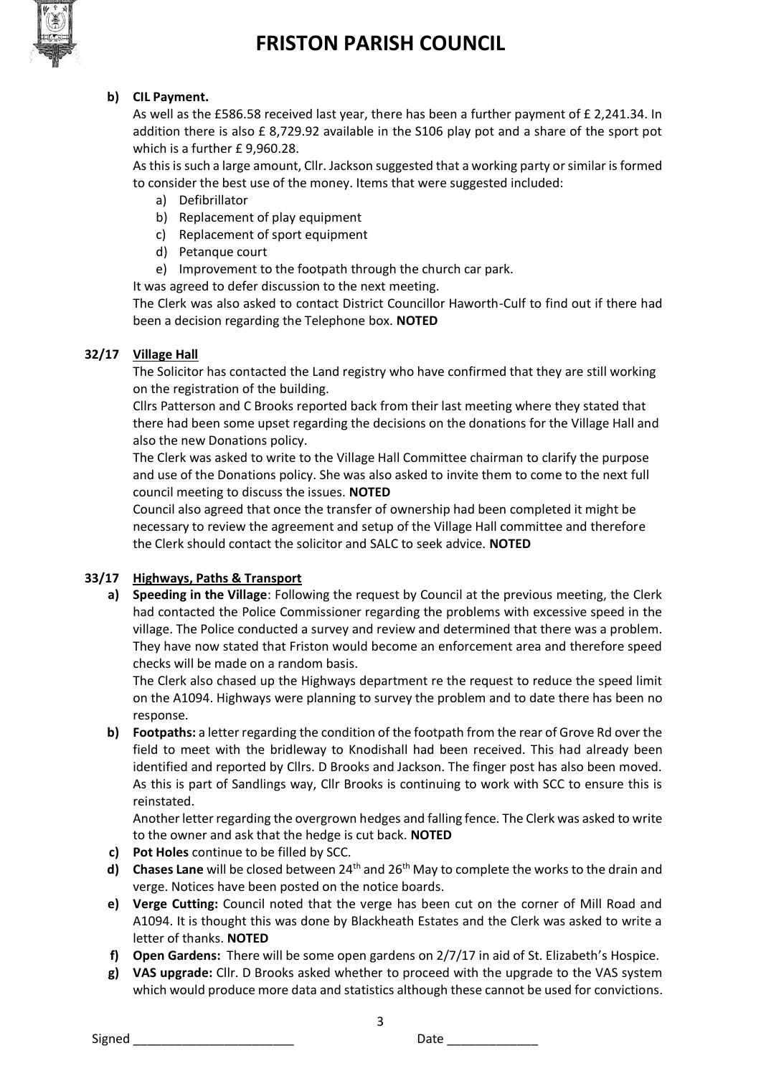

### **b) CIL Payment.**

As well as the £586.58 received last year, there has been a further payment of £ 2,241.34. In addition there is also £ 8,729.92 available in the S106 play pot and a share of the sport pot which is a further £ 9,960.28.

As this is such a large amount, Cllr. Jackson suggested that a working party or similar is formed to consider the best use of the money. Items that were suggested included:

- a) Defibrillator
- b) Replacement of play equipment
- c) Replacement of sport equipment
- d) Petanque court
- e) Improvement to the footpath through the church car park.
- It was agreed to defer discussion to the next meeting.

The Clerk was also asked to contact District Councillor Haworth-Culf to find out if there had been a decision regarding the Telephone box. **NOTED**

### **32/17 Village Hall**

The Solicitor has contacted the Land registry who have confirmed that they are still working on the registration of the building.

Cllrs Patterson and C Brooks reported back from their last meeting where they stated that there had been some upset regarding the decisions on the donations for the Village Hall and also the new Donations policy.

The Clerk was asked to write to the Village Hall Committee chairman to clarify the purpose and use of the Donations policy. She was also asked to invite them to come to the next full council meeting to discuss the issues. **NOTED**

Council also agreed that once the transfer of ownership had been completed it might be necessary to review the agreement and setup of the Village Hall committee and therefore the Clerk should contact the solicitor and SALC to seek advice. **NOTED**

### **33/17 Highways, Paths & Transport**

**a) Speeding in the Village**: Following the request by Council at the previous meeting, the Clerk had contacted the Police Commissioner regarding the problems with excessive speed in the village. The Police conducted a survey and review and determined that there was a problem. They have now stated that Friston would become an enforcement area and therefore speed checks will be made on a random basis.

The Clerk also chased up the Highways department re the request to reduce the speed limit on the A1094. Highways were planning to survey the problem and to date there has been no response.

**b) Footpaths:** a letter regarding the condition of the footpath from the rear of Grove Rd over the field to meet with the bridleway to Knodishall had been received. This had already been identified and reported by Cllrs. D Brooks and Jackson. The finger post has also been moved. As this is part of Sandlings way, Cllr Brooks is continuing to work with SCC to ensure this is reinstated.

Another letter regarding the overgrown hedges and falling fence. The Clerk was asked to write to the owner and ask that the hedge is cut back. **NOTED**

- **c) Pot Holes** continue to be filled by SCC.
- **d) Chases Lane** will be closed between 24<sup>th</sup> and 26<sup>th</sup> May to complete the works to the drain and verge. Notices have been posted on the notice boards.
- **e) Verge Cutting:** Council noted that the verge has been cut on the corner of Mill Road and A1094. It is thought this was done by Blackheath Estates and the Clerk was asked to write a letter of thanks. **NOTED**
- **f) Open Gardens:** There will be some open gardens on 2/7/17 in aid of St. Elizabeth's Hospice.
- **g) VAS upgrade:** Cllr. D Brooks asked whether to proceed with the upgrade to the VAS system which would produce more data and statistics although these cannot be used for convictions.

3

Signed \_\_\_\_\_\_\_\_\_\_\_\_\_\_\_\_\_\_\_\_\_\_\_ Date \_\_\_\_\_\_\_\_\_\_\_\_\_